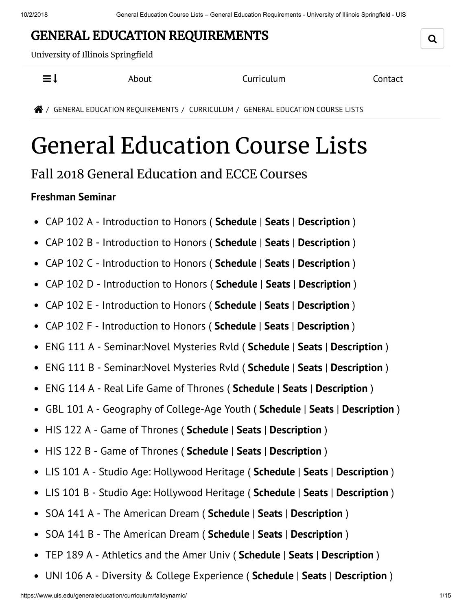## GENERAL EDUCATION REQUIREMENTS

University of Illinois Springfield

 $\equiv$   $\downarrow$  About Curriculum Contact

/ GENERAL EDUCATION REQUIREMENTS / CURRICULUM / GENERAL EDUCATION COURSE LISTS

# General Education Course Lists

### Fall 2018 General Education and ECCE Courses

#### **Freshman Seminar**

- $\bullet$ CAP 102 A - Introduction to Honors ( **Schedule** | **Seats** | **Description** )
- CAP 102 B Introduction to Honors ( **Schedule** | **Seats** | **Description** )  $\bullet$
- CAP 102 C Introduction to Honors ( **Schedule** | **Seats** | **Description** )  $\bullet$
- CAP 102 D Introduction to Honors ( **Schedule** | **Seats** | **Description** )  $\bullet$
- CAP 102 E Introduction to Honors ( **Schedule** | **Seats** | **Description** )  $\bullet$
- CAP 102 F Introduction to Honors ( **Schedule** | **Seats** | **Description** )  $\bullet$
- ENG 111 A Seminar:Novel Mysteries Rvld ( **Schedule** | **Seats** | **Description** )  $\bullet$
- ENG 111 B Seminar:Novel Mysteries Rvld ( **Schedule** | **Seats** | **Description** )  $\bullet$
- ENG 114 A Real Life Game of Thrones ( **Schedule** | **Seats** | **Description** )  $\bullet$
- GBL 101 A Geography of College-Age Youth ( **Schedule** | **Seats** | **Description** )  $\bullet$
- HIS 122 A Game of Thrones ( **Schedule** | **Seats** | **Description** )  $\bullet$
- HIS 122 B Game of Thrones ( **Schedule** | **Seats** | **Description** )  $\bullet$
- LIS 101 A Studio Age: Hollywood Heritage ( **Schedule** | **Seats** | **Description** )  $\bullet$
- LIS 101 B Studio Age: Hollywood Heritage ( **Schedule** | **Seats** | **Description** )  $\bullet$
- SOA 141 A The American Dream ( **Schedule** | **Seats** | **Description** )  $\bullet$
- SOA 141 B The American Dream ( **Schedule** | **Seats** | **Description** )  $\bullet$
- TEP 189 A Athletics and the Amer Univ ( **Schedule** | **Seats** | **Description** )  $\bullet$
- UNI 106 A Diversity & College Experience ( **Schedule** | **Seats** | **Description** ) $\bullet$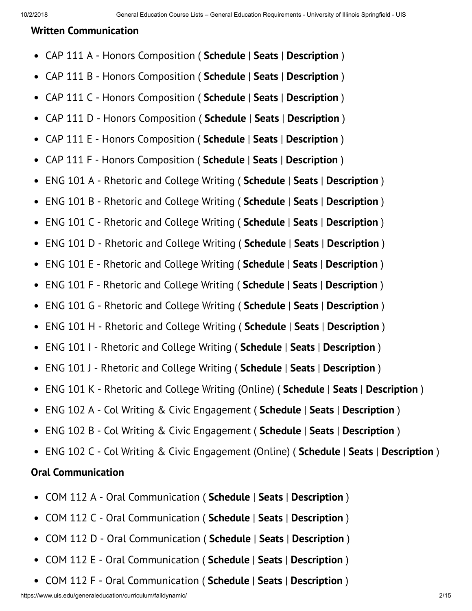#### **Written Communication**

- CAP 111 A Honors Composition ( **Schedule** | **Seats** | **Description** )  $\bullet$
- CAP 111 B Honors Composition ( **Schedule** | **Seats** | **Description** )  $\bullet$
- CAP 111 C Honors Composition ( **Schedule** | **Seats** | **Description** )  $\bullet$
- CAP 111 D Honors Composition ( **Schedule** | **Seats** | **Description** )  $\bullet$
- CAP 111 E Honors Composition ( **Schedule** | **Seats** | **Description** )  $\bullet$
- CAP 111 F Honors Composition ( **Schedule** | **Seats** | **Description** )  $\bullet$
- ENG 101 A Rhetoric and College Writing ( **Schedule** | **Seats** | **Description** )  $\bullet$
- ENG 101 B Rhetoric and College Writing ( **Schedule** | **Seats** | **Description** )  $\bullet$
- ENG 101 C Rhetoric and College Writing ( **Schedule** | **Seats** | **Description** )  $\bullet$
- ENG 101 D Rhetoric and College Writing ( **Schedule** | **Seats** | **Description** )  $\bullet$
- ENG 101 E Rhetoric and College Writing ( **Schedule** | **Seats** | **Description** )  $\bullet$
- ENG 101 F Rhetoric and College Writing ( **Schedule** | **Seats** | **Description** )  $\bullet$
- ENG 101 G Rhetoric and College Writing ( **Schedule** | **Seats** | **Description** )  $\bullet$
- ENG 101 H Rhetoric and College Writing ( **Schedule** | **Seats** | **Description** )  $\bullet$
- ENG 101 I Rhetoric and College Writing ( **Schedule** | **Seats** | **Description** )  $\bullet$
- ENG 101 J Rhetoric and College Writing ( **Schedule** | **Seats** | **Description** )  $\bullet$
- ENG 101 K Rhetoric and College Writing (Online) ( **Schedule** | **Seats** | **Description** )  $\bullet$
- ENG 102 A Col Writing & Civic Engagement ( **Schedule** | **Seats** | **Description** )  $\bullet$
- ENG 102 B Col Writing & Civic Engagement ( **Schedule** | **Seats** | **Description** )  $\bullet$
- ENG 102 C Col Writing & Civic Engagement (Online) ( **Schedule** | **Seats** | **Description** )

#### **Oral Communication**

- COM 112 A Oral Communication ( **Schedule** | **Seats** | **Description** )  $\bullet$
- COM 112 C Oral Communication ( **Schedule** | **Seats** | **Description** )  $\bullet$
- COM 112 D Oral Communication ( **Schedule** | **Seats** | **Description** )  $\bullet$
- COM 112 E Oral Communication ( **Schedule** | **Seats** | **Description** )  $\bullet$
- $\bullet$ COM 112 F - Oral Communication ( **Schedule** | **Seats** | **Description** )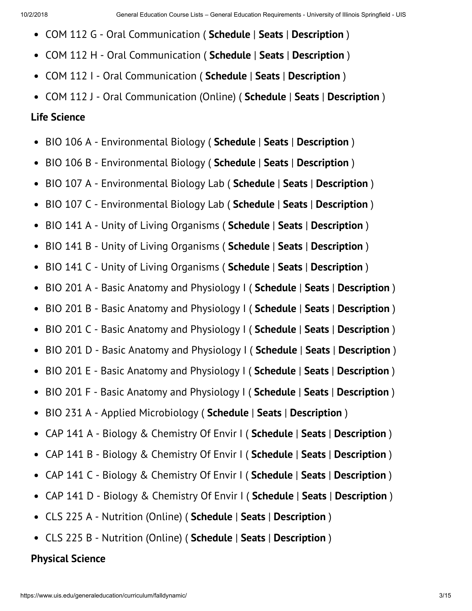- COM 112 G Oral Communication ( **Schedule** | **Seats** | **Description** )  $\bullet$
- COM 112 H Oral Communication ( **Schedule** | **Seats** | **Description** )  $\bullet$
- COM 112 I Oral Communication ( **Schedule** | **Seats** | **Description** )  $\bullet$
- COM 112 J Oral Communication (Online) ( **Schedule** | **Seats** | **Description** )

#### **Life Science**

- BIO 106 A Environmental Biology ( **Schedule** | **Seats** | **Description** )
- BIO 106 B Environmental Biology ( **Schedule** | **Seats** | **Description** )  $\bullet$
- BIO 107 A Environmental Biology Lab ( **Schedule** | **Seats** | **Description** )  $\bullet$
- BIO 107 C Environmental Biology Lab ( **Schedule** | **Seats** | **Description** )  $\bullet$
- BIO 141 A Unity of Living Organisms ( **Schedule** | **Seats** | **Description** )  $\bullet$
- BIO 141 B Unity of Living Organisms ( **Schedule** | **Seats** | **Description** )  $\bullet$
- BIO 141 C Unity of Living Organisms ( **Schedule** | **Seats** | **Description** )  $\bullet$
- BIO 201 A Basic Anatomy and Physiology I ( **Schedule** | **Seats** | **Description** )  $\bullet$
- BIO 201 B Basic Anatomy and Physiology I ( **Schedule** | **Seats** | **Description** )  $\bullet$
- BIO 201 C Basic Anatomy and Physiology I ( **Schedule** | **Seats** | **Description** )  $\bullet$
- BIO 201 D Basic Anatomy and Physiology I ( **Schedule** | **Seats** | **Description** )  $\bullet$
- BIO 201 E Basic Anatomy and Physiology I ( **Schedule** | **Seats** | **Description** )  $\bullet$
- BIO 201 F Basic Anatomy and Physiology I ( **Schedule** | **Seats** | **Description** )  $\bullet$
- BIO 231 A Applied Microbiology ( **Schedule** | **Seats** | **Description** )  $\bullet$
- CAP 141 A Biology & Chemistry Of Envir I ( **Schedule** | **Seats** | **Description** )  $\bullet$
- CAP 141 B Biology & Chemistry Of Envir I ( **Schedule** | **Seats** | **Description** )  $\bullet$
- CAP 141 C Biology & Chemistry Of Envir I ( **Schedule** | **Seats** | **Description** )  $\bullet$
- CAP 141 D Biology & Chemistry Of Envir I ( **Schedule** | **Seats** | **Description** )  $\bullet$
- CLS 225 A Nutrition (Online) ( **Schedule** | **Seats** | **Description** )
- CLS 225 B Nutrition (Online) ( **Schedule** | **Seats** | **Description** )

#### **Physical Science**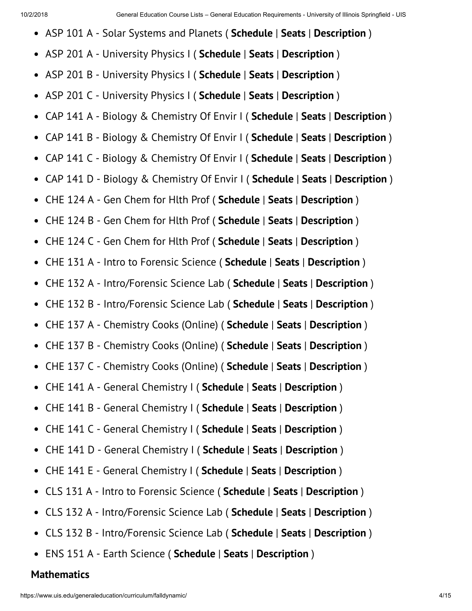- ASP 101 A Solar Systems and Planets ( **Schedule** | **Seats** | **Description** )
- ASP 201 A University Physics I ( **Schedule** | **Seats** | **Description** )  $\bullet$
- ASP 201 B University Physics I ( **Schedule** | **Seats** | **Description** )  $\bullet$
- ASP 201 C University Physics I ( **Schedule** | **Seats** | **Description** )  $\bullet$
- CAP 141 A Biology & Chemistry Of Envir I ( **Schedule** | **Seats** | **Description** )  $\bullet$
- CAP 141 B Biology & Chemistry Of Envir I ( **Schedule** | **Seats** | **Description** )  $\bullet$
- CAP 141 C Biology & Chemistry Of Envir I ( **Schedule** | **Seats** | **Description** )  $\bullet$
- CAP 141 D Biology & Chemistry Of Envir I ( **Schedule** | **Seats** | **Description** )  $\bullet$
- CHE 124 A Gen Chem for Hlth Prof ( **Schedule** | **Seats** | **Description** )  $\bullet$
- CHE 124 B Gen Chem for Hlth Prof ( **Schedule** | **Seats** | **Description** )  $\bullet$
- CHE 124 C Gen Chem for Hlth Prof ( **Schedule** | **Seats** | **Description** )  $\bullet$
- CHE 131 A Intro to Forensic Science ( **Schedule** | **Seats** | **Description** )  $\bullet$
- CHE 132 A Intro/Forensic Science Lab ( **Schedule** | **Seats** | **Description** )  $\bullet$
- CHE 132 B Intro/Forensic Science Lab ( **Schedule** | **Seats** | **Description** )  $\bullet$
- CHE 137 A Chemistry Cooks (Online) ( **Schedule** | **Seats** | **Description** )  $\bullet$
- CHE 137 B Chemistry Cooks (Online) ( **Schedule** | **Seats** | **Description** )  $\bullet$
- CHE 137 C Chemistry Cooks (Online) ( **Schedule** | **Seats** | **Description** )  $\bullet$
- CHE 141 A General Chemistry I ( **Schedule** | **Seats** | **Description** )  $\bullet$
- CHE 141 B General Chemistry I ( **Schedule** | **Seats** | **Description** )  $\bullet$
- CHE 141 C General Chemistry I ( **Schedule** | **Seats** | **Description** )  $\bullet$
- CHE 141 D General Chemistry I ( **Schedule** | **Seats** | **Description** )  $\bullet$
- CHE 141 E General Chemistry I ( **Schedule** | **Seats** | **Description** )  $\bullet$
- CLS 131 A Intro to Forensic Science ( **Schedule** | **Seats** | **Description** )  $\bullet$
- CLS 132 A Intro/Forensic Science Lab ( **Schedule** | **Seats** | **Description** )  $\bullet$
- CLS 132 B Intro/Forensic Science Lab ( **Schedule** | **Seats** | **Description** )  $\bullet$
- ENS 151 A Earth Science ( **Schedule** | **Seats** | **Description** )  $\bullet$

#### **Mathematics**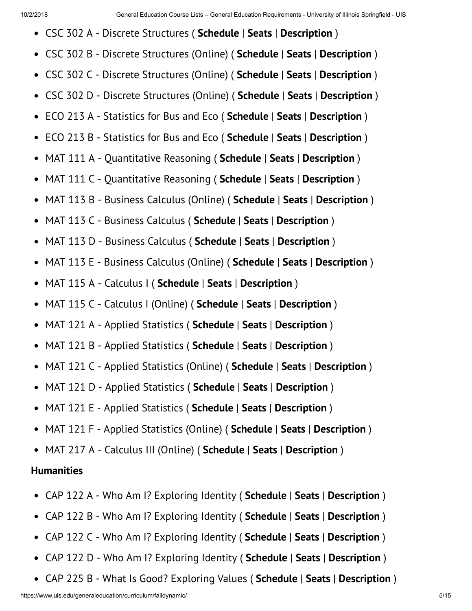- CSC 302 A Discrete Structures ( **Schedule** | **Seats** | **Description** )
- CSC 302 B Discrete Structures (Online) ( **Schedule** | **Seats** | **Description** )
- CSC 302 C Discrete Structures (Online) ( **Schedule** | **Seats** | **Description** )  $\bullet$
- CSC 302 D Discrete Structures (Online) ( **Schedule** | **Seats** | **Description** )  $\bullet$
- ECO 213 A Statistics for Bus and Eco ( **Schedule** | **Seats** | **Description** )  $\bullet$
- ECO 213 B Statistics for Bus and Eco ( **Schedule** | **Seats** | **Description** )  $\bullet$
- MAT 111 A Quantitative Reasoning ( **Schedule** | **Seats** | **Description** )  $\bullet$
- MAT 111 C Quantitative Reasoning ( **Schedule** | **Seats** | **Description** )  $\bullet$
- MAT 113 B Business Calculus (Online) ( **Schedule** | **Seats** | **Description** )  $\bullet$
- MAT 113 C Business Calculus ( **Schedule** | **Seats** | **Description** )  $\bullet$
- MAT 113 D Business Calculus ( **Schedule** | **Seats** | **Description** )  $\bullet$
- MAT 113 E Business Calculus (Online) ( **Schedule** | **Seats** | **Description** )  $\bullet$
- MAT 115 A Calculus I ( **Schedule** | **Seats** | **Description** )  $\bullet$
- $\bullet$ MAT 115 C - Calculus I (Online) ( **Schedule** | **Seats** | **Description** )
- MAT 121 A Applied Statistics ( **Schedule** | **Seats** | **Description** )  $\bullet$
- MAT 121 B Applied Statistics ( **Schedule** | **Seats** | **Description** )  $\bullet$
- MAT 121 C Applied Statistics (Online) ( **Schedule** | **Seats** | **Description** )  $\bullet$
- MAT 121 D Applied Statistics ( **Schedule** | **Seats** | **Description** )  $\bullet$
- MAT 121 E Applied Statistics ( **Schedule** | **Seats** | **Description** )  $\bullet$
- MAT 121 F Applied Statistics (Online) ( **Schedule** | **Seats** | **Description** )  $\bullet$
- MAT 217 A Calculus III (Online) ( **Schedule** | **Seats** | **Description** )

#### **Humanities**

- CAP 122 A Who Am I? Exploring Identity ( **Schedule** | **Seats** | **Description** )  $\bullet$
- CAP 122 B Who Am I? Exploring Identity ( **Schedule** | **Seats** | **Description** )  $\bullet$
- CAP 122 C Who Am I? Exploring Identity ( **Schedule** | **Seats** | **Description** )  $\bullet$
- CAP 122 D Who Am I? Exploring Identity ( **Schedule** | **Seats** | **Description** )
- CAP 225 B What Is Good? Exploring Values ( **Schedule** | **Seats** | **Description** ) $\bullet$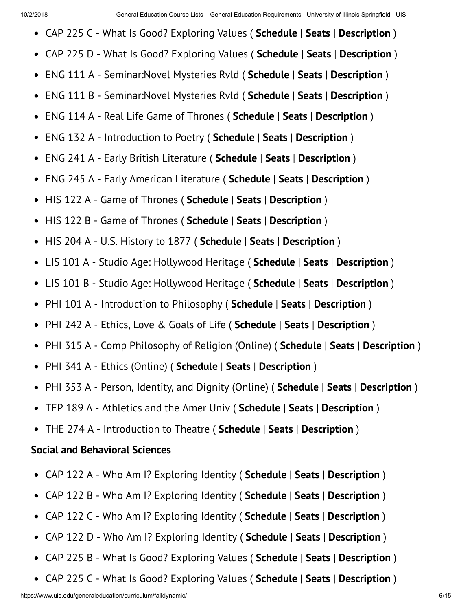- CAP 225 C What Is Good? Exploring Values ( **Schedule** | **Seats** | **Description** )
- CAP 225 D What Is Good? Exploring Values ( **Schedule** | **Seats** | **Description** )
- ENG 111 A Seminar:Novel Mysteries Rvld ( **Schedule** | **Seats** | **Description** )  $\bullet$
- ENG 111 B Seminar:Novel Mysteries Rvld ( **Schedule** | **Seats** | **Description** )  $\bullet$
- ENG 114 A Real Life Game of Thrones ( **Schedule** | **Seats** | **Description** )  $\bullet$
- ENG 132 A Introduction to Poetry ( **Schedule** | **Seats** | **Description** )  $\bullet$
- ENG 241 A Early British Literature ( **Schedule** | **Seats** | **Description** )  $\bullet$
- ENG 245 A Early American Literature ( **Schedule** | **Seats** | **Description** )  $\bullet$
- HIS 122 A Game of Thrones ( **Schedule** | **Seats** | **Description** )  $\bullet$
- HIS 122 B Game of Thrones ( **Schedule** | **Seats** | **Description** )  $\bullet$
- HIS 204 A U.S. History to 1877 ( **Schedule** | **Seats** | **Description** )  $\bullet$
- LIS 101 A Studio Age: Hollywood Heritage ( **Schedule** | **Seats** | **Description** )  $\bullet$
- LIS 101 B Studio Age: Hollywood Heritage ( **Schedule** | **Seats** | **Description** )  $\bullet$
- PHI 101 A Introduction to Philosophy ( **Schedule** | **Seats** | **Description** )  $\bullet$
- PHI 242 A Ethics, Love & Goals of Life ( **Schedule** | **Seats** | **Description** )  $\bullet$
- PHI 315 A Comp Philosophy of Religion (Online) ( **Schedule** | **Seats** | **Description** )  $\bullet$
- PHI 341 A Ethics (Online) ( **Schedule** | **Seats** | **Description** )  $\bullet$
- PHI 353 A Person, Identity, and Dignity (Online) ( **Schedule** | **Seats** | **Description** )
- TEP 189 A Athletics and the Amer Univ ( **Schedule** | **Seats** | **Description** )  $\bullet$
- THE 274 A Introduction to Theatre ( **Schedule** | **Seats** | **Description** )

#### **Social and Behavioral Sciences**

- $\bullet$ CAP 122 A - Who Am I? Exploring Identity ( **Schedule** | **Seats** | **Description** )
- CAP 122 B Who Am I? Exploring Identity ( **Schedule** | **Seats** | **Description** )  $\bullet$
- CAP 122 C Who Am I? Exploring Identity ( **Schedule** | **Seats** | **Description** )  $\bullet$
- CAP 122 D Who Am I? Exploring Identity ( **Schedule** | **Seats** | **Description** )  $\bullet$
- CAP 225 B What Is Good? Exploring Values ( **Schedule** | **Seats** | **Description** )  $\bullet$
- CAP 225 C What Is Good? Exploring Values ( **Schedule** | **Seats** | **Description** ) $\bullet$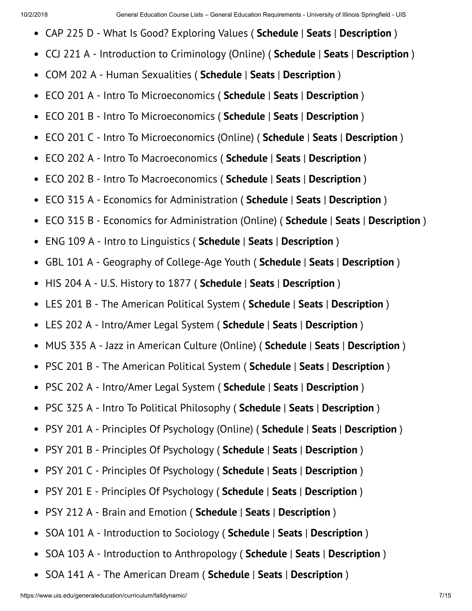- CAP 225 D What Is Good? Exploring Values ( **Schedule** | **Seats** | **Description** )
- CCJ 221 A Introduction to Criminology (Online) ( **Schedule** | **Seats** | **Description** )  $\bullet$
- COM 202 A Human Sexualities ( **Schedule** | **Seats** | **Description** )  $\bullet$
- ECO 201 A Intro To Microeconomics ( **Schedule** | **Seats** | **Description** )  $\bullet$
- ECO 201 B Intro To Microeconomics ( **Schedule** | **Seats** | **Description** )  $\bullet$
- ECO 201 C Intro To Microeconomics (Online) ( **Schedule** | **Seats** | **Description** )  $\bullet$
- ECO 202 A Intro To Macroeconomics ( **Schedule** | **Seats** | **Description** )  $\bullet$
- ECO 202 B Intro To Macroeconomics ( **Schedule** | **Seats** | **Description** )  $\bullet$
- ECO 315 A Economics for Administration ( **Schedule** | **Seats** | **Description** )  $\bullet$
- ECO 315 B Economics for Administration (Online) ( **Schedule** | **Seats** | **Description** )  $\bullet$
- ENG 109 A Intro to Linguistics ( **Schedule** | **Seats** | **Description** )  $\bullet$
- GBL 101 A Geography of College-Age Youth ( **Schedule** | **Seats** | **Description** )  $\bullet$
- HIS 204 A U.S. History to 1877 ( **Schedule** | **Seats** | **Description** )  $\bullet$
- LES 201 B The American Political System ( **Schedule** | **Seats** | **Description** )  $\bullet$
- LES 202 A Intro/Amer Legal System ( **Schedule** | **Seats** | **Description** )  $\bullet$
- MUS 335 A Jazz in American Culture (Online) ( **Schedule** | **Seats** | **Description** )  $\bullet$
- PSC 201 B The American Political System ( **Schedule** | **Seats** | **Description** )  $\bullet$
- PSC 202 A Intro/Amer Legal System ( **Schedule** | **Seats** | **Description** )  $\bullet$
- PSC 325 A Intro To Political Philosophy ( **Schedule** | **Seats** | **Description** )  $\bullet$
- PSY 201 A Principles Of Psychology (Online) ( **Schedule** | **Seats** | **Description** )  $\bullet$
- PSY 201 B Principles Of Psychology ( **Schedule** | **Seats** | **Description** )  $\bullet$
- PSY 201 C Principles Of Psychology ( **Schedule** | **Seats** | **Description** )  $\bullet$
- PSY 201 E Principles Of Psychology ( **Schedule** | **Seats** | **Description** )  $\bullet$
- PSY 212 A Brain and Emotion ( **Schedule** | **Seats** | **Description** )  $\bullet$
- SOA 101 A Introduction to Sociology ( **Schedule** | **Seats** | **Description** )  $\bullet$
- SOA 103 A Introduction to Anthropology ( **Schedule** | **Seats** | **Description** )  $\bullet$
- SOA 141 A The American Dream ( **Schedule** | **Seats** | **Description** )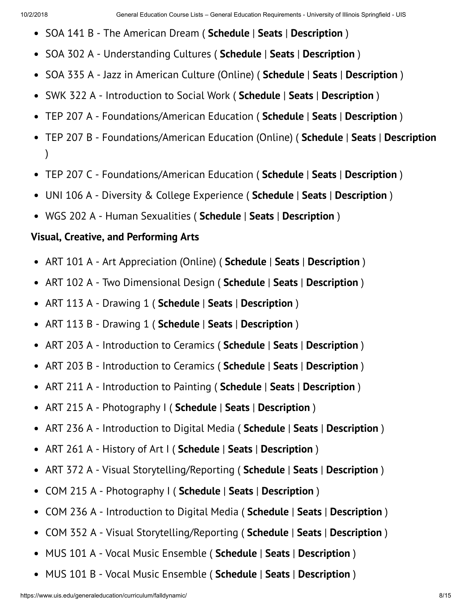- SOA 141 B The American Dream ( **Schedule** | **Seats** | **Description** )
- SOA 302 A Understanding Cultures ( **Schedule** | **Seats** | **Description** )  $\bullet$
- SOA 335 A Jazz in American Culture (Online) ( **Schedule** | **Seats** | **Description** )  $\bullet$
- SWK 322 A Introduction to Social Work ( **Schedule** | **Seats** | **Description** )  $\bullet$
- TEP 207 A Foundations/American Education ( **Schedule** | **Seats** | **Description** )  $\bullet$
- TEP 207 B Foundations/American Education (Online) ( **Schedule** | **Seats** | **Description**  $\bullet$ )
- TEP 207 C Foundations/American Education ( **Schedule** | **Seats** | **Description** )
- UNI 106 A Diversity & College Experience ( **Schedule** | **Seats** | **Description** )
- WGS 202 A Human Sexualities ( **Schedule** | **Seats** | **Description** )

#### **Visual, Creative, and Performing Arts**

- ART 101 A Art Appreciation (Online) ( **Schedule** | **Seats** | **Description** )  $\bullet$
- ART 102 A Two Dimensional Design ( **Schedule** | **Seats** | **Description** )  $\bullet$
- ART 113 A Drawing 1 ( **Schedule** | **Seats** | **Description** )  $\bullet$
- ART 113 B Drawing 1 ( **Schedule** | **Seats** | **Description** )  $\bullet$
- ART 203 A Introduction to Ceramics ( **Schedule** | **Seats** | **Description** )  $\bullet$
- ART 203 B Introduction to Ceramics ( **Schedule** | **Seats** | **Description** )  $\bullet$
- ART 211 A Introduction to Painting ( **Schedule** | **Seats** | **Description** )  $\bullet$
- ART 215 A Photography I ( **Schedule** | **Seats** | **Description** )  $\bullet$
- ART 236 A Introduction to Digital Media ( **Schedule** | **Seats** | **Description** )  $\bullet$
- ART 261 A History of Art I ( **Schedule** | **Seats** | **Description** )  $\bullet$
- ART 372 A Visual Storytelling/Reporting ( **Schedule** | **Seats** | **Description** )  $\bullet$
- $\bullet$ COM 215 A - Photography I ( **Schedule** | **Seats** | **Description** )
- COM 236 A Introduction to Digital Media ( **Schedule** | **Seats** | **Description** )  $\bullet$
- COM 352 A Visual Storytelling/Reporting ( **Schedule** | **Seats** | **Description** )  $\bullet$
- MUS 101 A Vocal Music Ensemble ( **Schedule** | **Seats** | **Description** )  $\bullet$
- MUS 101 B Vocal Music Ensemble ( **Schedule** | **Seats** | **Description** ) $\bullet$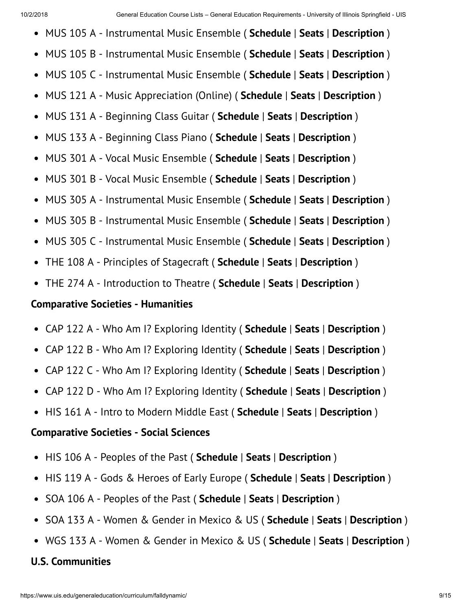- MUS 105 A Instrumental Music Ensemble ( **Schedule** | **Seats** | **Description** )  $\bullet$
- MUS 105 B Instrumental Music Ensemble ( **Schedule** | **Seats** | **Description** )  $\bullet$
- MUS 105 C Instrumental Music Ensemble ( **Schedule** | **Seats** | **Description** )  $\bullet$
- MUS 121 A Music Appreciation (Online) ( **Schedule** | **Seats** | **Description** )  $\bullet$
- MUS 131 A Beginning Class Guitar ( **Schedule** | **Seats** | **Description** )  $\bullet$
- MUS 133 A Beginning Class Piano ( **Schedule** | **Seats** | **Description** )  $\bullet$
- MUS 301 A Vocal Music Ensemble ( **Schedule** | **Seats** | **Description** )  $\bullet$
- MUS 301 B Vocal Music Ensemble ( **Schedule** | **Seats** | **Description** )  $\bullet$
- MUS 305 A Instrumental Music Ensemble ( **Schedule** | **Seats** | **Description** )  $\bullet$
- MUS 305 B Instrumental Music Ensemble ( **Schedule** | **Seats** | **Description** )  $\bullet$
- MUS 305 C Instrumental Music Ensemble ( **Schedule** | **Seats** | **Description** )  $\bullet$
- THE 108 A Principles of Stagecraft ( **Schedule** | **Seats** | **Description** )  $\bullet$
- THE 274 A Introduction to Theatre ( **Schedule** | **Seats** | **Description** )  $\bullet$

#### **Comparative Societies - Humanities**

- CAP 122 A Who Am I? Exploring Identity ( **Schedule** | **Seats** | **Description** )  $\bullet$
- CAP 122 B Who Am I? Exploring Identity ( **Schedule** | **Seats** | **Description** )  $\bullet$
- CAP 122 C Who Am I? Exploring Identity ( **Schedule** | **Seats** | **Description** )
- CAP 122 D Who Am I? Exploring Identity ( **Schedule** | **Seats** | **Description** )
- HIS 161 A Intro to Modern Middle East ( **Schedule** | **Seats** | **Description** )

#### **Comparative Societies - Social Sciences**

- $\bullet$ HIS 106 A - Peoples of the Past ( **Schedule** | **Seats** | **Description** )
- HIS 119 A Gods & Heroes of Early Europe ( **Schedule** | **Seats** | **Description** )  $\bullet$
- SOA 106 A Peoples of the Past ( **Schedule** | **Seats** | **Description** )  $\bullet$
- SOA 133 A Women & Gender in Mexico & US ( **Schedule** | **Seats** | **Description** )  $\bullet$
- WGS 133 A Women & Gender in Mexico & US ( **Schedule** | **Seats** | **Description** )

#### **U.S. Communities**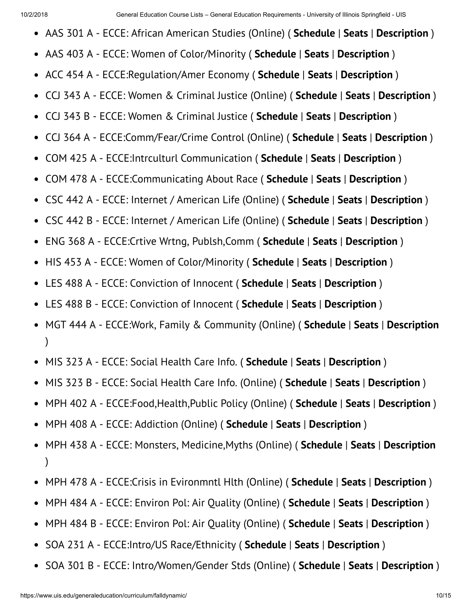- AAS 301 A ECCE: African American Studies (Online) ( **Schedule** | **Seats** | **Description** )
- AAS 403 A ECCE: Women of Color/Minority ( **Schedule** | **Seats** | **Description** )  $\bullet$
- ACC 454 A ECCE:Regulation/Amer Economy ( **Schedule** | **Seats** | **Description** )  $\bullet$
- CCJ 343 A ECCE: Women & Criminal Justice (Online) ( **Schedule** | **Seats** | **Description** )  $\bullet$
- CCJ 343 B ECCE: Women & Criminal Justice ( **Schedule** | **Seats** | **Description** )  $\bullet$
- CCJ 364 A ECCE:Comm/Fear/Crime Control (Online) ( **Schedule** | **Seats** | **Description** )  $\bullet$
- COM 425 A ECCE:Intrculturl Communication ( **Schedule** | **Seats** | **Description** )  $\bullet$
- COM 478 A ECCE:Communicating About Race ( **Schedule** | **Seats** | **Description** )  $\bullet$
- CSC 442 A ECCE: Internet / American Life (Online) ( **Schedule** | **Seats** | **Description** )  $\bullet$
- CSC 442 B ECCE: Internet / American Life (Online) ( **Schedule** | **Seats** | **Description** )  $\bullet$
- ENG 368 A ECCE:Crtive Wrtng, Publsh,Comm ( **Schedule** | **Seats** | **Description** )  $\bullet$
- HIS 453 A ECCE: Women of Color/Minority ( **Schedule** | **Seats** | **Description** )  $\bullet$
- LES 488 A ECCE: Conviction of Innocent ( **Schedule** | **Seats** | **Description** )  $\bullet$
- LES 488 B ECCE: Conviction of Innocent ( **Schedule** | **Seats** | **Description** )  $\bullet$
- MGT 444 A ECCE:Work, Family & Community (Online) ( **Schedule** | **Seats** | **Description**  $\bullet$ )
- MIS 323 A ECCE: Social Health Care Info. ( **Schedule** | **Seats** | **Description** )  $\bullet$
- MIS 323 B ECCE: Social Health Care Info. (Online) ( **Schedule** | **Seats** | **Description** )  $\bullet$
- MPH 402 A ECCE:Food,Health,Public Policy (Online) ( **Schedule** | **Seats** | **Description** )  $\bullet$
- MPH 408 A ECCE: Addiction (Online) ( **Schedule** | **Seats** | **Description** )  $\bullet$
- MPH 438 A ECCE: Monsters, Medicine,Myths (Online) ( **Schedule** | **Seats** | **Description**  $\bullet$ )
- MPH 478 A ECCE:Crisis in Evironmntl Hlth (Online) ( **Schedule** | **Seats** | **Description** )  $\bullet$
- MPH 484 A ECCE: Environ Pol: Air Quality (Online) ( **Schedule** | **Seats** | **Description** )  $\bullet$
- MPH 484 B ECCE: Environ Pol: Air Quality (Online) ( **Schedule** | **Seats** | **Description** )  $\bullet$
- SOA 231 A ECCE:Intro/US Race/Ethnicity ( **Schedule** | **Seats** | **Description** )  $\bullet$
- SOA 301 B ECCE: Intro/Women/Gender Stds (Online) ( **Schedule** | **Seats** | **Description** ) $\bullet$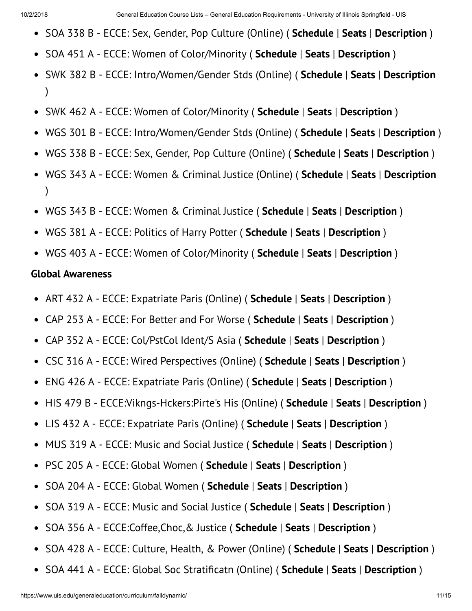- SOA 338 B ECCE: Sex, Gender, Pop Culture (Online) ( **Schedule** | **Seats** | **Description** )
- SOA 451 A ECCE: Women of Color/Minority ( **Schedule** | **Seats** | **Description** )
- SWK 382 B ECCE: Intro/Women/Gender Stds (Online) ( **Schedule** | **Seats** | **Description** )
- SWK 462 A ECCE: Women of Color/Minority ( **Schedule** | **Seats** | **Description** )
- WGS 301 B ECCE: Intro/Women/Gender Stds (Online) ( **Schedule** | **Seats** | **Description** )  $\bullet$
- WGS 338 B ECCE: Sex, Gender, Pop Culture (Online) ( **Schedule** | **Seats** | **Description** )
- WGS 343 A ECCE: Women & Criminal Justice (Online) ( **Schedule** | **Seats** | **Description** )
- WGS 343 B ECCE: Women & Criminal Justice ( **Schedule** | **Seats** | **Description** )
- WGS 381 A ECCE: Politics of Harry Potter ( **Schedule** | **Seats** | **Description** )
- WGS 403 A ECCE: Women of Color/Minority ( **Schedule** | **Seats** | **Description** )

#### **Global Awareness**

- ART 432 A ECCE: Expatriate Paris (Online) ( **Schedule** | **Seats** | **Description** )
- CAP 253 A ECCE: For Better and For Worse ( **Schedule** | **Seats** | **Description** )  $\bullet$
- CAP 352 A ECCE: Col/PstCol Ident/S Asia ( **Schedule** | **Seats** | **Description** )  $\bullet$
- CSC 316 A ECCE: Wired Perspectives (Online) ( **Schedule** | **Seats** | **Description** )  $\bullet$
- ENG 426 A ECCE: Expatriate Paris (Online) ( **Schedule** | **Seats** | **Description** )  $\bullet$
- HIS 479 B ECCE:Vikngs-Hckers:Pirte's His (Online) ( **Schedule** | **Seats** | **Description** )  $\bullet$
- LIS 432 A ECCE: Expatriate Paris (Online) ( **Schedule** | **Seats** | **Description** )  $\bullet$
- MUS 319 A ECCE: Music and Social Justice ( **Schedule** | **Seats** | **Description** )  $\bullet$
- PSC 205 A ECCE: Global Women ( **Schedule** | **Seats** | **Description** )  $\bullet$
- SOA 204 A ECCE: Global Women ( **Schedule** | **Seats** | **Description** )  $\bullet$
- SOA 319 A ECCE: Music and Social Justice ( **Schedule** | **Seats** | **Description** )  $\bullet$
- SOA 356 A ECCE:Coffee,Choc,& Justice ( **Schedule** | **Seats** | **Description** )  $\bullet$
- SOA 428 A ECCE: Culture, Health, & Power (Online) ( **Schedule** | **Seats** | **Description** )  $\bullet$
- SOA 441 A ECCE: Global Soc Stratificatn (Online) (**Schedule** | Seats | Description )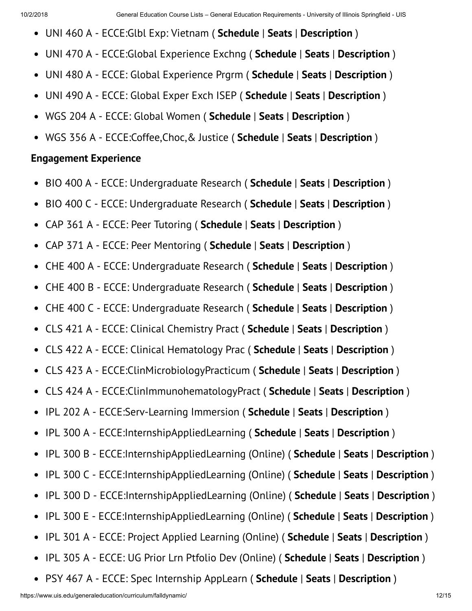- UNI 460 A ECCE:Glbl Exp: Vietnam ( **Schedule** | **Seats** | **Description** )
- UNI 470 A ECCE:Global Experience Exchng ( **Schedule** | **Seats** | **Description** )  $\bullet$
- UNI 480 A ECCE: Global Experience Prgrm ( **Schedule** | **Seats** | **Description** )  $\bullet$
- UNI 490 A ECCE: Global Exper Exch ISEP ( **Schedule** | **Seats** | **Description** )  $\bullet$
- WGS 204 A ECCE: Global Women ( **Schedule** | **Seats** | **Description** )  $\bullet$
- WGS 356 A ECCE:Coffee,Choc,& Justice ( **Schedule** | **Seats** | **Description** )

#### **Engagement Experience**

- BIO 400 A ECCE: Undergraduate Research ( **Schedule** | **Seats** | **Description** )  $\bullet$
- BIO 400 C ECCE: Undergraduate Research ( **Schedule** | **Seats** | **Description** )  $\bullet$
- CAP 361 A ECCE: Peer Tutoring ( **Schedule** | **Seats** | **Description** )  $\bullet$
- CAP 371 A ECCE: Peer Mentoring ( **Schedule** | **Seats** | **Description** )  $\bullet$
- $\bullet$ CHE 400 A - ECCE: Undergraduate Research ( **Schedule** | **Seats** | **Description** )
- CHE 400 B ECCE: Undergraduate Research ( **Schedule** | **Seats** | **Description** )  $\bullet$
- CHE 400 C ECCE: Undergraduate Research ( **Schedule** | **Seats** | **Description** )  $\bullet$
- CLS 421 A ECCE: Clinical Chemistry Pract ( **Schedule** | **Seats** | **Description** )  $\bullet$
- CLS 422 A ECCE: Clinical Hematology Prac ( **Schedule** | **Seats** | **Description** )  $\bullet$
- CLS 423 A ECCE:ClinMicrobiologyPracticum ( **Schedule** | **Seats** | **Description** )  $\bullet$
- CLS 424 A ECCE:ClinImmunohematologyPract ( **Schedule** | **Seats** | **Description** )  $\bullet$
- IPL 202 A ECCE:Serv-Learning Immersion ( **Schedule** | **Seats** | **Description** )  $\bullet$
- IPL 300 A ECCE:InternshipAppliedLearning ( **Schedule** | **Seats** | **Description** )  $\bullet$
- IPL 300 B ECCE:InternshipAppliedLearning (Online) ( **Schedule** | **Seats** | **Description** )  $\bullet$
- IPL 300 C ECCE:InternshipAppliedLearning (Online) ( **Schedule** | **Seats** | **Description** )  $\bullet$
- IPL 300 D ECCE:InternshipAppliedLearning (Online) ( **Schedule** | **Seats** | **Description** )  $\bullet$
- IPL 300 E ECCE:InternshipAppliedLearning (Online) ( **Schedule** | **Seats** | **Description** )  $\bullet$
- IPL 301 A ECCE: Project Applied Learning (Online) ( **Schedule** | **Seats** | **Description** )  $\bullet$
- IPL 305 A ECCE: UG Prior Lrn Ptfolio Dev (Online) ( **Schedule** | **Seats** | **Description** )  $\bullet$
- PSY 467 A ECCE: Spec Internship AppLearn ( **Schedule** | **Seats** | **Description** ) $\bullet$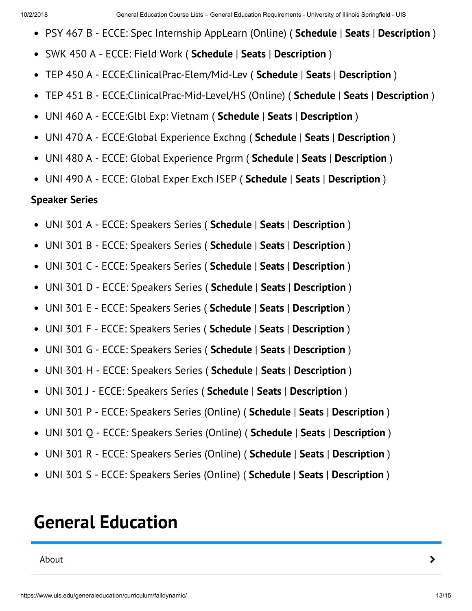- PSY 467 B ECCE: Spec Internship AppLearn (Online) ( **Schedule** | **Seats** | **Description** )
- SWK 450 A ECCE: Field Work ( **Schedule** | **Seats** | **Description** )  $\bullet$
- TEP 450 A ECCE:ClinicalPrac-Elem/Mid-Lev ( **Schedule** | **Seats** | **Description** )  $\bullet$
- TEP 451 B ECCE:ClinicalPrac-Mid-Level/HS (Online) ( **Schedule** | **Seats** | **Description** )  $\bullet$
- UNI 460 A ECCE:Glbl Exp: Vietnam ( **Schedule** | **Seats** | **Description** )  $\bullet$
- UNI 470 A ECCE:Global Experience Exchng ( **Schedule** | **Seats** | **Description** )  $\bullet$
- UNI 480 A ECCE: Global Experience Prgrm ( **Schedule** | **Seats** | **Description** )  $\bullet$
- UNI 490 A ECCE: Global Exper Exch ISEP ( **Schedule** | **Seats** | **Description** )

#### **Speaker Series**

- UNI 301 A ECCE: Speakers Series ( **Schedule** | **Seats** | **Description** )
- UNI 301 B ECCE: Speakers Series ( **Schedule** | **Seats** | **Description** )  $\bullet$
- UNI 301 C ECCE: Speakers Series ( **Schedule** | **Seats** | **Description** )  $\bullet$
- UNI 301 D ECCE: Speakers Series ( **Schedule** | **Seats** | **Description** )  $\bullet$
- UNI 301 E ECCE: Speakers Series ( **Schedule** | **Seats** | **Description** )  $\bullet$
- UNI 301 F ECCE: Speakers Series ( **Schedule** | **Seats** | **Description** )  $\bullet$
- UNI 301 G ECCE: Speakers Series ( **Schedule** | **Seats** | **Description** )  $\bullet$
- UNI 301 H ECCE: Speakers Series ( **Schedule** | **Seats** | **Description** )  $\bullet$
- UNI 301 J ECCE: Speakers Series ( **Schedule** | **Seats** | **Description** )  $\bullet$
- UNI 301 P ECCE: Speakers Series (Online) ( **Schedule** | **Seats** | **Description** )  $\bullet$
- UNI 301 Q ECCE: Speakers Series (Online) ( **Schedule** | **Seats** | **Description** )  $\bullet$
- UNI 301 R ECCE: Speakers Series (Online) ( **Schedule** | **Seats** | **Description** )  $\bullet$
- $\bullet$ UNI 301 S - ECCE: Speakers Series (Online) ( **Schedule** | **Seats** | **Description** )

# **General Education**

About **>**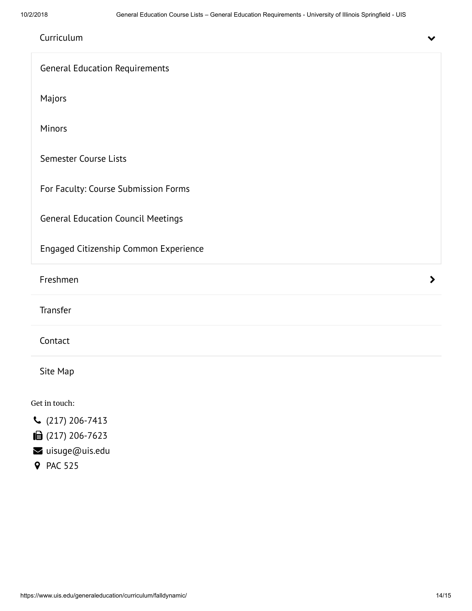| Curriculum                                | V                     |
|-------------------------------------------|-----------------------|
| <b>General Education Requirements</b>     |                       |
| Majors                                    |                       |
| Minors                                    |                       |
| Semester Course Lists                     |                       |
| For Faculty: Course Submission Forms      |                       |
| <b>General Education Council Meetings</b> |                       |
| Engaged Citizenship Common Experience     |                       |
| Freshmen                                  | $\blacktriangleright$ |
| Transfer                                  |                       |
| Contact                                   |                       |
| Site Map                                  |                       |
| Get in touch:                             |                       |
| $C(217) 206 - 7413$                       |                       |
| ■ (217) 206-7623                          |                       |
| uisuge@uis.edu                            |                       |
| <b>9</b> PAC 525                          |                       |